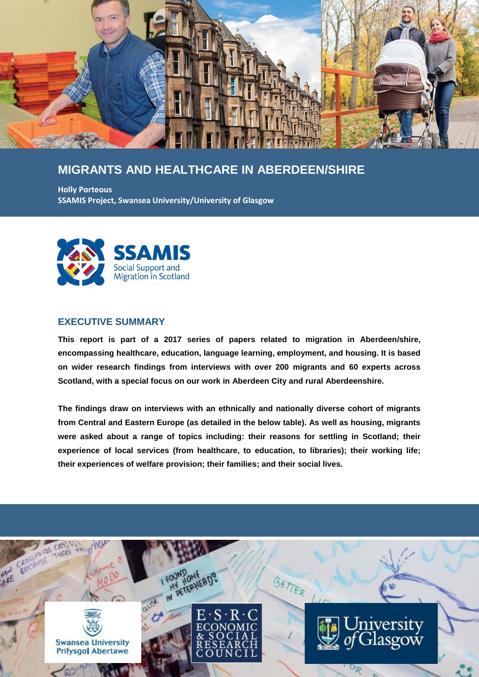

# **MIGRANTS AND HEALTHCARE IN ABERDEEN/SHIRE**

**Holly Porteous SSAMIS Project, Swansea University/University of Glasgow**



## **EXECUTIVE SUMMARY**

**This report is part of a 2017 series of papers related to migration in Aberdeen/shire, encompassing healthcare, education, language learning, employment, and housing. It is based on wider research findings from interviews with over 200 migrants and 60 experts across Scotland, with a special focus on our work in Aberdeen City and rural Aberdeenshire.**

**The findings draw on interviews with an ethnically and nationally diverse cohort of migrants from Central and Eastern Europe (as detailed in the below table). As well as housing, migrants were asked about a range of topics including: their reasons for settling in Scotland; their experience of local services (from healthcare, to education, to libraries); their working life; their experiences of welfare provision; their families; and their social lives.**

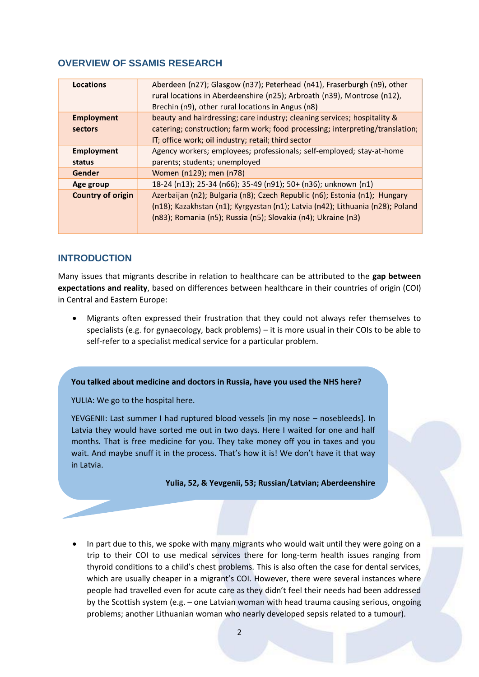# **OVERVIEW OF SSAMIS RESEARCH**

| Locations                | Aberdeen (n27); Glasgow (n37); Peterhead (n41), Fraserburgh (n9), other<br>rural locations in Aberdeenshire (n25); Arbroath (n39), Montrose (n12),<br>Brechin (n9), other rural locations in Angus (n8) |
|--------------------------|---------------------------------------------------------------------------------------------------------------------------------------------------------------------------------------------------------|
| <b>Employment</b>        | beauty and hairdressing; care industry; cleaning services; hospitality &                                                                                                                                |
| sectors                  | catering; construction; farm work; food processing; interpreting/translation;                                                                                                                           |
|                          | IT; office work; oil industry; retail; third sector                                                                                                                                                     |
| <b>Employment</b>        | Agency workers; employees; professionals; self-employed; stay-at-home                                                                                                                                   |
| status                   | parents; students; unemployed                                                                                                                                                                           |
| Gender                   | Women (n129); men (n78)                                                                                                                                                                                 |
| Age group                | 18-24 (n13); 25-34 (n66); 35-49 (n91); 50+ (n36); unknown (n1)                                                                                                                                          |
| <b>Country of origin</b> | Azerbaijan (n2); Bulgaria (n8); Czech Republic (n6); Estonia (n1); Hungary                                                                                                                              |
|                          | (n18); Kazakhstan (n1); Kyrgyzstan (n1); Latvia (n42); Lithuania (n28); Poland                                                                                                                          |
|                          | (n83); Romania (n5); Russia (n5); Slovakia (n4); Ukraine (n3)                                                                                                                                           |
|                          |                                                                                                                                                                                                         |

# **INTRODUCTION**

Many issues that migrants describe in relation to healthcare can be attributed to the **gap between expectations and reality**, based on differences between healthcare in their countries of origin (COI) in Central and Eastern Europe:

 Migrants often expressed their frustration that they could not always refer themselves to specialists (e.g. for gynaecology, back problems) – it is more usual in their COIs to be able to self-refer to a specialist medical service for a particular problem.

### **You talked about medicine and doctors in Russia, have you used the NHS here?**

YULIA: We go to the hospital here.

YEVGENII: Last summer I had ruptured blood vessels [in my nose – nosebleeds]. In Latvia they would have sorted me out in two days. Here I waited for one and half months. That is free medicine for you. They take money off you in taxes and you wait. And maybe snuff it in the process. That's how it is! We don't have it that way in Latvia.

### **Yulia, 52, & Yevgenii, 53; Russian/Latvian; Aberdeenshire**

 In part due to this, we spoke with many migrants who would wait until they were going on a trip to their COI to use medical services there for long-term health issues ranging from thyroid conditions to a child's chest problems. This is also often the case for dental services, which are usually cheaper in a migrant's COI. However, there were several instances where people had travelled even for acute care as they didn't feel their needs had been addressed by the Scottish system (e.g. – one Latvian woman with head trauma causing serious, ongoing problems; another Lithuanian woman who nearly developed sepsis related to a tumour).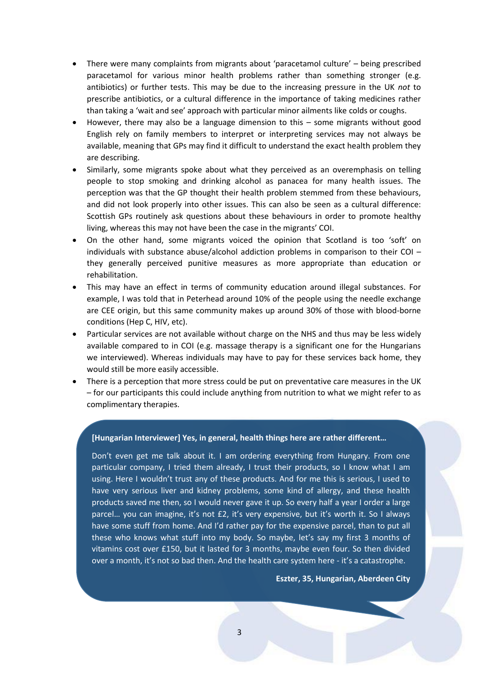- There were many complaints from migrants about 'paracetamol culture' being prescribed paracetamol for various minor health problems rather than something stronger (e.g. antibiotics) or further tests. This may be due to the increasing pressure in the UK *not* to prescribe antibiotics, or a cultural difference in the importance of taking medicines rather than taking a 'wait and see' approach with particular minor ailments like colds or coughs.
- However, there may also be a language dimension to this some migrants without good English rely on family members to interpret or interpreting services may not always be available, meaning that GPs may find it difficult to understand the exact health problem they are describing.
- Similarly, some migrants spoke about what they perceived as an overemphasis on telling people to stop smoking and drinking alcohol as panacea for many health issues. The perception was that the GP thought their health problem stemmed from these behaviours, and did not look properly into other issues. This can also be seen as a cultural difference: Scottish GPs routinely ask questions about these behaviours in order to promote healthy living, whereas this may not have been the case in the migrants' COI.
- On the other hand, some migrants voiced the opinion that Scotland is too 'soft' on individuals with substance abuse/alcohol addiction problems in comparison to their COI $$ they generally perceived punitive measures as more appropriate than education or rehabilitation.
- This may have an effect in terms of community education around illegal substances. For example, I was told that in Peterhead around 10% of the people using the needle exchange are CEE origin, but this same community makes up around 30% of those with blood-borne conditions (Hep C, HIV, etc).
- Particular services are not available without charge on the NHS and thus may be less widely available compared to in COI (e.g. massage therapy is a significant one for the Hungarians we interviewed). Whereas individuals may have to pay for these services back home, they would still be more easily accessible.
- There is a perception that more stress could be put on preventative care measures in the UK – for our participants this could include anything from nutrition to what we might refer to as complimentary therapies.

### **[Hungarian Interviewer] Yes, in general, health things here are rather different…**

Don't even get me talk about it. I am ordering everything from Hungary. From one particular company, I tried them already, I trust their products, so I know what I am using. Here I wouldn't trust any of these products. And for me this is serious, I used to have very serious liver and kidney problems, some kind of allergy, and these health products saved me then, so I would never gave it up. So every half a year I order a large parcel… you can imagine, it's not £2, it's very expensive, but it's worth it. So I always have some stuff from home. And I'd rather pay for the expensive parcel, than to put all these who knows what stuff into my body. So maybe, let's say my first 3 months of vitamins cost over £150, but it lasted for 3 months, maybe even four. So then divided over a month, it's not so bad then. And the health care system here - it's a catastrophe.

#### **Eszter, 35, Hungarian, Aberdeen City**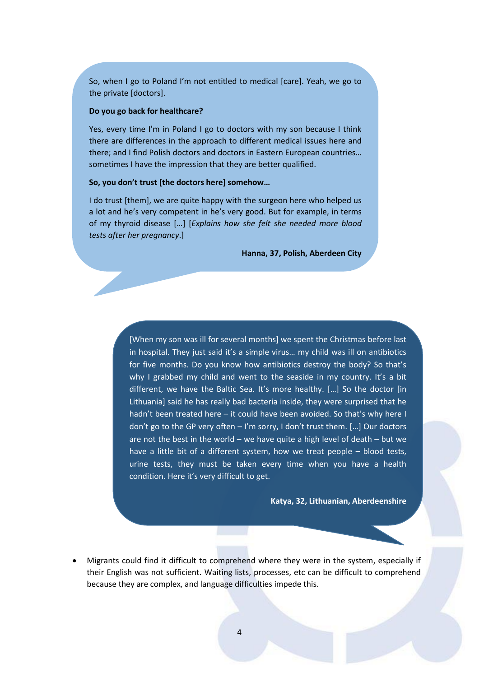So, when I go to Poland I'm not entitled to medical [care]. Yeah, we go to the private [doctors].

#### **Do you go back for healthcare?**

Yes, every time I'm in Poland I go to doctors with my son because I think there are differences in the approach to different medical issues here and there; and I find Polish doctors and doctors in Eastern European countries… sometimes I have the impression that they are better qualified.

#### **So, you don't trust [the doctors here] somehow…**

I do trust [them], we are quite happy with the surgeon here who helped us a lot and he's very competent in he's very good. But for example, in terms of my thyroid disease […] [*Explains how she felt she needed more blood tests after her pregnancy*.]

**Hanna, 37, Polish, Aberdeen City**

[When my son was ill for several months] we spent the Christmas before last in hospital. They just said it's a simple virus… my child was ill on antibiotics for five months. Do you know how antibiotics destroy the body? So that's why I grabbed my child and went to the seaside in my country. It's a bit different, we have the Baltic Sea. It's more healthy. […] So the doctor [in Lithuania] said he has really bad bacteria inside, they were surprised that he hadn't been treated here – it could have been avoided. So that's why here I don't go to the GP very often – I'm sorry, I don't trust them. […] Our doctors are not the best in the world  $-$  we have quite a high level of death  $-$  but we have a little bit of a different system, how we treat people – blood tests, urine tests, they must be taken every time when you have a health condition. Here it's very difficult to get.

**Katya, 32, Lithuanian, Aberdeenshire**

 Migrants could find it difficult to comprehend where they were in the system, especially if their English was not sufficient. Waiting lists, processes, etc can be difficult to comprehend because they are complex, and language difficulties impede this.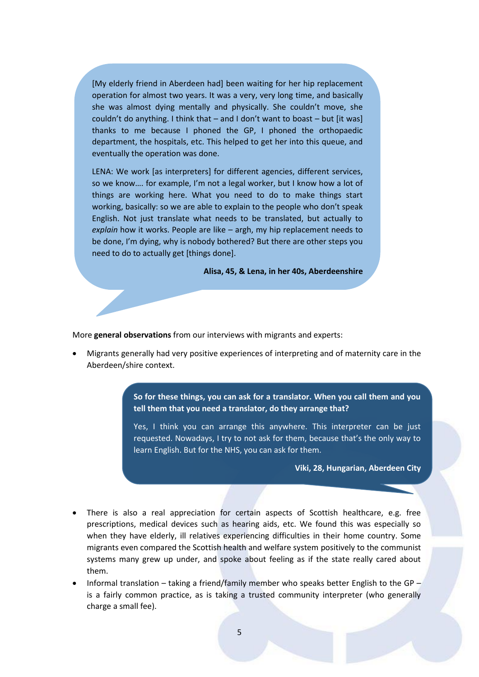[My elderly friend in Aberdeen had] been waiting for her hip replacement operation for almost two years. It was a very, very long time, and basically she was almost dying mentally and physically. She couldn't move, she couldn't do anything. I think that – and I don't want to boast – but [it was] thanks to me because I phoned the GP, I phoned the orthopaedic department, the hospitals, etc. This helped to get her into this queue, and eventually the operation was done.

LENA: We work [as interpreters] for different agencies, different services, so we know…. for example, I'm not a legal worker, but I know how a lot of things are working here. What you need to do to make things start working, basically: so we are able to explain to the people who don't speak English. Not just translate what needs to be translated, but actually to *explain* how it works. People are like – argh, my hip replacement needs to be done, I'm dying, why is nobody bothered? But there are other steps you need to do to actually get [things done].

**Alisa, 45, & Lena, in her 40s, Aberdeenshire**

More **general observations** from our interviews with migrants and experts:

 Migrants generally had very positive experiences of interpreting and of maternity care in the Aberdeen/shire context.

> **So for these things, you can ask for a translator. When you call them and you tell them that you need a translator, do they arrange that?**

> Yes, I think you can arrange this anywhere. This interpreter can be just requested. Nowadays, I try to not ask for them, because that's the only way to learn English. But for the NHS, you can ask for them.

> > **Viki, 28, Hungarian, Aberdeen City**

- There is also a real appreciation for certain aspects of Scottish healthcare, e.g. free prescriptions, medical devices such as hearing aids, etc. We found this was especially so when they have elderly, ill relatives experiencing difficulties in their home country. Some migrants even compared the Scottish health and welfare system positively to the communist systems many grew up under, and spoke about feeling as if the state really cared about them.
- Informal translation taking a friend/family member who speaks better English to the GP is a fairly common practice, as is taking a trusted community interpreter (who generally charge a small fee).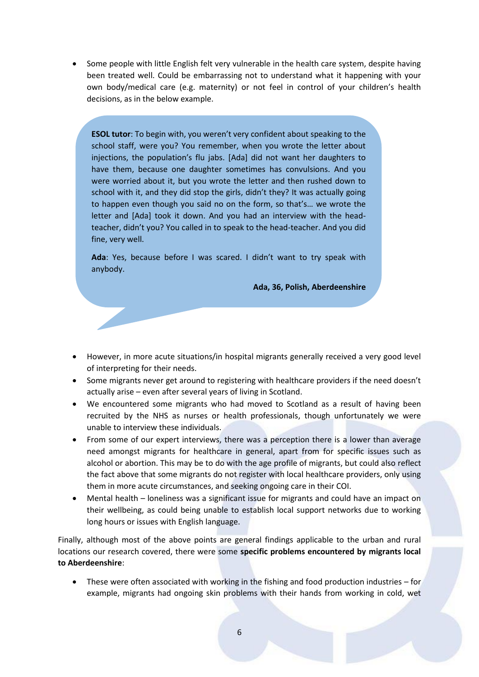Some people with little English felt very vulnerable in the health care system, despite having been treated well. Could be embarrassing not to understand what it happening with your own body/medical care (e.g. maternity) or not feel in control of your children's health decisions, as in the below example.

**ESOL tutor**: To begin with, you weren't very confident about speaking to the school staff, were you? You remember, when you wrote the letter about injections, the population's flu jabs. [Ada] did not want her daughters to have them, because one daughter sometimes has convulsions. And you were worried about it, but you wrote the letter and then rushed down to school with it, and they did stop the girls, didn't they? It was actually going to happen even though you said no on the form, so that's… we wrote the letter and [Ada] took it down. And you had an interview with the headteacher, didn't you? You called in to speak to the head-teacher. And you did fine, very well.

**Ada**: Yes, because before I was scared. I didn't want to try speak with anybody.

**Ada, 36, Polish, Aberdeenshire**

- However, in more acute situations/in hospital migrants generally received a very good level of interpreting for their needs.
- Some migrants never get around to registering with healthcare providers if the need doesn't actually arise – even after several years of living in Scotland.
- We encountered some migrants who had moved to Scotland as a result of having been recruited by the NHS as nurses or health professionals, though unfortunately we were unable to interview these individuals.
- From some of our expert interviews, there was a perception there is a lower than average need amongst migrants for healthcare in general, apart from for specific issues such as alcohol or abortion. This may be to do with the age profile of migrants, but could also reflect the fact above that some migrants do not register with local healthcare providers, only using them in more acute circumstances, and seeking ongoing care in their COI.
- Mental health loneliness was a significant issue for migrants and could have an impact on their wellbeing, as could being unable to establish local support networks due to working long hours or issues with English language.

Finally, although most of the above points are general findings applicable to the urban and rural locations our research covered, there were some **specific problems encountered by migrants local to Aberdeenshire**:

 These were often associated with working in the fishing and food production industries – for example, migrants had ongoing skin problems with their hands from working in cold, wet